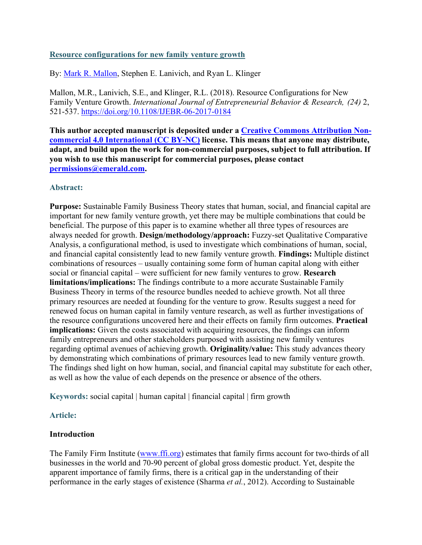### **Resource configurations for new family venture growth**

By: [Mark R. Mallon,](https://libres.uncg.edu/ir/uncg/clist.aspx?id=26210) Stephen E. Lanivich, and Ryan L. Klinger

Mallon, M.R., Lanivich, S.E., and Klinger, R.L. (2018). Resource Configurations for New Family Venture Growth. *International Journal of Entrepreneurial Behavior & Research, (24)* 2, 521-537. <https://doi.org/10.1108/IJEBR-06-2017-0184>

**This author accepted manuscript is deposited under a [Creative Commons Attribution Non](https://creativecommons.org/licenses/by-nc/4.0/)[commercial 4.0 International \(CC BY-NC\)](https://creativecommons.org/licenses/by-nc/4.0/) license. This means that anyone may distribute, adapt, and build upon the work for non-commercial purposes, subject to full attribution. If you wish to use this manuscript for commercial purposes, please contact [permissions@emerald.com.](mailto:permissions@emerald.com)**

### **Abstract:**

**Purpose:** Sustainable Family Business Theory states that human, social, and financial capital are important for new family venture growth, yet there may be multiple combinations that could be beneficial. The purpose of this paper is to examine whether all three types of resources are always needed for growth. **Design/methodology/approach:** Fuzzy-set Qualitative Comparative Analysis, a configurational method, is used to investigate which combinations of human, social, and financial capital consistently lead to new family venture growth. **Findings:** Multiple distinct combinations of resources – usually containing some form of human capital along with either social or financial capital – were sufficient for new family ventures to grow. **Research limitations/implications:** The findings contribute to a more accurate Sustainable Family Business Theory in terms of the resource bundles needed to achieve growth. Not all three primary resources are needed at founding for the venture to grow. Results suggest a need for renewed focus on human capital in family venture research, as well as further investigations of the resource configurations uncovered here and their effects on family firm outcomes. **Practical implications:** Given the costs associated with acquiring resources, the findings can inform family entrepreneurs and other stakeholders purposed with assisting new family ventures regarding optimal avenues of achieving growth. **Originality/value:** This study advances theory by demonstrating which combinations of primary resources lead to new family venture growth. The findings shed light on how human, social, and financial capital may substitute for each other, as well as how the value of each depends on the presence or absence of the others.

**Keywords:** social capital | human capital | financial capital | firm growth

### **Article:**

### **Introduction**

The Family Firm Institute [\(www.ffi.org\)](http://www.ffi.org/) estimates that family firms account for two-thirds of all businesses in the world and 70-90 percent of global gross domestic product. Yet, despite the apparent importance of family firms, there is a critical gap in the understanding of their performance in the early stages of existence (Sharma *et al.*, 2012). According to Sustainable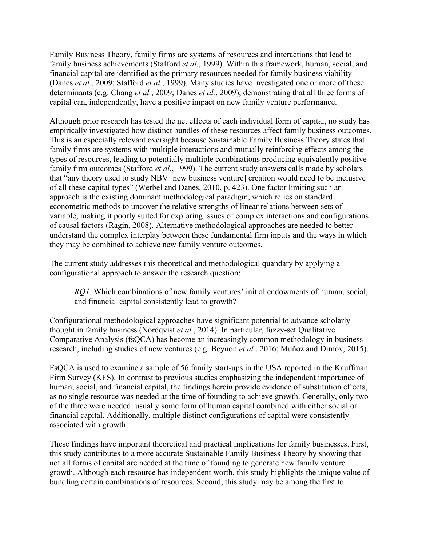Family Business Theory, family firms are systems of resources and interactions that lead to family business achievements (Stafford *et al.*, 1999). Within this framework, human, social, and financial capital are identified as the primary resources needed for family business viability (Danes *et al.*, 2009; Stafford *et al.*, 1999). Many studies have investigated one or more of these determinants (e.g. Chang *et al.*, 2009; Danes *et al.*, 2009), demonstrating that all three forms of capital can, independently, have a positive impact on new family venture performance.

Although prior research has tested the net effects of each individual form of capital, no study has empirically investigated how distinct bundles of these resources affect family business outcomes. This is an especially relevant oversight because Sustainable Family Business Theory states that family firms are systems with multiple interactions and mutually reinforcing effects among the types of resources, leading to potentially multiple combinations producing equivalently positive family firm outcomes (Stafford *et al.*, 1999). The current study answers calls made by scholars that "any theory used to study NBV [new business venture] creation would need to be inclusive of all these capital types" (Werbel and Danes, 2010, p. 423). One factor limiting such an approach is the existing dominant methodological paradigm, which relies on standard econometric methods to uncover the relative strengths of linear relations between sets of variable, making it poorly suited for exploring issues of complex interactions and configurations of causal factors (Ragin, 2008). Alternative methodological approaches are needed to better understand the complex interplay between these fundamental firm inputs and the ways in which they may be combined to achieve new family venture outcomes.

The current study addresses this theoretical and methodological quandary by applying a configurational approach to answer the research question:

*RQ1.* Which combinations of new family ventures' initial endowments of human, social, and financial capital consistently lead to growth?

Configurational methodological approaches have significant potential to advance scholarly thought in family business (Nordqvist *et al.*, 2014). In particular, fuzzy-set Qualitative Comparative Analysis (fsQCA) has become an increasingly common methodology in business research, including studies of new ventures (e.g. Beynon *et al.*, 2016; Muñoz and Dimov, 2015).

FsQCA is used to examine a sample of 56 family start-ups in the USA reported in the Kauffman Firm Survey (KFS). In contrast to previous studies emphasizing the independent importance of human, social, and financial capital, the findings herein provide evidence of substitution effects, as no single resource was needed at the time of founding to achieve growth. Generally, only two of the three were needed: usually some form of human capital combined with either social or financial capital. Additionally, multiple distinct configurations of capital were consistently associated with growth.

These findings have important theoretical and practical implications for family businesses. First, this study contributes to a more accurate Sustainable Family Business Theory by showing that not all forms of capital are needed at the time of founding to generate new family venture growth. Although each resource has independent worth, this study highlights the unique value of bundling certain combinations of resources. Second, this study may be among the first to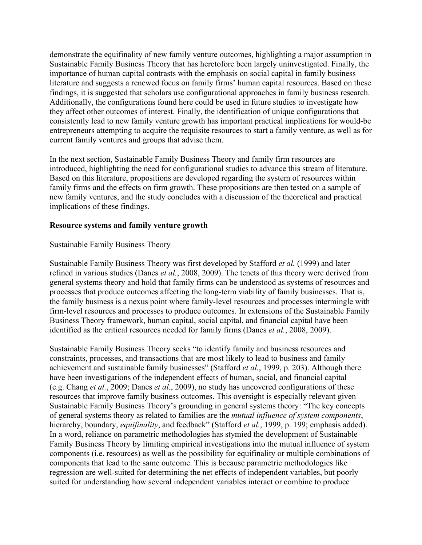demonstrate the equifinality of new family venture outcomes, highlighting a major assumption in Sustainable Family Business Theory that has heretofore been largely uninvestigated. Finally, the importance of human capital contrasts with the emphasis on social capital in family business literature and suggests a renewed focus on family firms' human capital resources. Based on these findings, it is suggested that scholars use configurational approaches in family business research. Additionally, the configurations found here could be used in future studies to investigate how they affect other outcomes of interest. Finally, the identification of unique configurations that consistently lead to new family venture growth has important practical implications for would-be entrepreneurs attempting to acquire the requisite resources to start a family venture, as well as for current family ventures and groups that advise them.

In the next section, Sustainable Family Business Theory and family firm resources are introduced, highlighting the need for configurational studies to advance this stream of literature. Based on this literature, propositions are developed regarding the system of resources within family firms and the effects on firm growth. These propositions are then tested on a sample of new family ventures, and the study concludes with a discussion of the theoretical and practical implications of these findings.

### **Resource systems and family venture growth**

#### Sustainable Family Business Theory

Sustainable Family Business Theory was first developed by Stafford *et al.* (1999) and later refined in various studies (Danes *et al.*, 2008, 2009). The tenets of this theory were derived from general systems theory and hold that family firms can be understood as systems of resources and processes that produce outcomes affecting the long-term viability of family businesses. That is, the family business is a nexus point where family-level resources and processes intermingle with firm-level resources and processes to produce outcomes. In extensions of the Sustainable Family Business Theory framework, human capital, social capital, and financial capital have been identified as the critical resources needed for family firms (Danes *et al.*, 2008, 2009).

Sustainable Family Business Theory seeks "to identify family and business resources and constraints, processes, and transactions that are most likely to lead to business and family achievement and sustainable family businesses" (Stafford *et al.*, 1999, p. 203). Although there have been investigations of the independent effects of human, social, and financial capital (e.g. Chang *et al.*, 2009; Danes *et al.*, 2009), no study has uncovered configurations of these resources that improve family business outcomes. This oversight is especially relevant given Sustainable Family Business Theory's grounding in general systems theory: "The key concepts of general systems theory as related to families are the *mutual influence of system components*, hierarchy, boundary, *equifinality*, and feedback" (Stafford *et al.*, 1999, p. 199; emphasis added). In a word, reliance on parametric methodologies has stymied the development of Sustainable Family Business Theory by limiting empirical investigations into the mutual influence of system components (i.e. resources) as well as the possibility for equifinality or multiple combinations of components that lead to the same outcome. This is because parametric methodologies like regression are well-suited for determining the net effects of independent variables, but poorly suited for understanding how several independent variables interact or combine to produce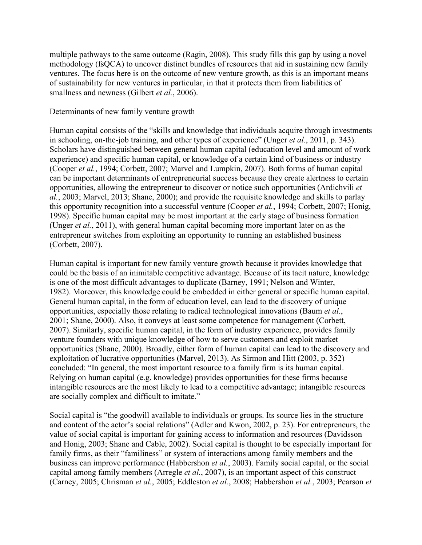multiple pathways to the same outcome (Ragin, 2008). This study fills this gap by using a novel methodology (fsQCA) to uncover distinct bundles of resources that aid in sustaining new family ventures. The focus here is on the outcome of new venture growth, as this is an important means of sustainability for new ventures in particular, in that it protects them from liabilities of smallness and newness (Gilbert *et al.*, 2006).

#### Determinants of new family venture growth

Human capital consists of the "skills and knowledge that individuals acquire through investments in schooling, on-the-job training, and other types of experience" (Unger *et al.*, 2011, p. 343). Scholars have distinguished between general human capital (education level and amount of work experience) and specific human capital, or knowledge of a certain kind of business or industry (Cooper *et al.*, 1994; Corbett, 2007; Marvel and Lumpkin, 2007). Both forms of human capital can be important determinants of entrepreneurial success because they create alertness to certain opportunities, allowing the entrepreneur to discover or notice such opportunities (Ardichvili *et al.*, 2003; Marvel, 2013; Shane, 2000); and provide the requisite knowledge and skills to parlay this opportunity recognition into a successful venture (Cooper *et al.*, 1994; Corbett, 2007; Honig, 1998). Specific human capital may be most important at the early stage of business formation (Unger *et al.*, 2011), with general human capital becoming more important later on as the entrepreneur switches from exploiting an opportunity to running an established business (Corbett, 2007).

Human capital is important for new family venture growth because it provides knowledge that could be the basis of an inimitable competitive advantage. Because of its tacit nature, knowledge is one of the most difficult advantages to duplicate (Barney, 1991; Nelson and Winter, 1982). Moreover, this knowledge could be embedded in either general or specific human capital. General human capital, in the form of education level, can lead to the discovery of unique opportunities, especially those relating to radical technological innovations (Baum *et al.*, 2001; Shane, 2000). Also, it conveys at least some competence for management (Corbett, 2007). Similarly, specific human capital, in the form of industry experience, provides family venture founders with unique knowledge of how to serve customers and exploit market opportunities (Shane, 2000). Broadly, either form of human capital can lead to the discovery and exploitation of lucrative opportunities (Marvel, 2013). As Sirmon and Hitt (2003, p. 352) concluded: "In general, the most important resource to a family firm is its human capital. Relying on human capital (e.g. knowledge) provides opportunities for these firms because intangible resources are the most likely to lead to a competitive advantage; intangible resources are socially complex and difficult to imitate."

Social capital is "the goodwill available to individuals or groups. Its source lies in the structure and content of the actor's social relations" (Adler and Kwon, 2002, p. 23). For entrepreneurs, the value of social capital is important for gaining access to information and resources (Davidsson and Honig, 2003; Shane and Cable, 2002). Social capital is thought to be especially important for family firms, as their "familiness" or system of interactions among family members and the business can improve performance (Habbershon *et al.*, 2003). Family social capital, or the social capital among family members (Arregle *et al.*, 2007), is an important aspect of this construct (Carney, 2005; Chrisman *et al.*, 2005; Eddleston *et al.*, 2008; Habbershon *et al.*, 2003; Pearson *et*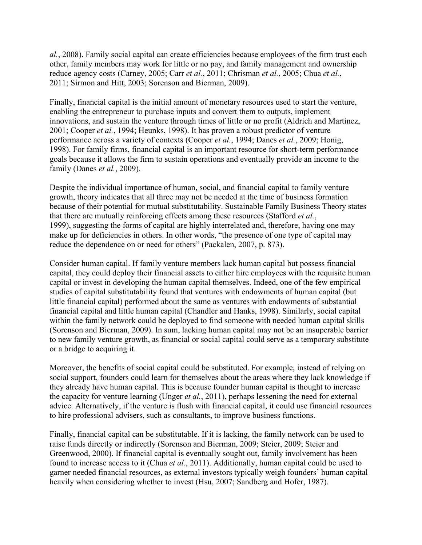*al.*, 2008). Family social capital can create efficiencies because employees of the firm trust each other, family members may work for little or no pay, and family management and ownership reduce agency costs (Carney, 2005; Carr *et al.*, 2011; Chrisman *et al.*, 2005; Chua *et al.*, 2011; Sirmon and Hitt, 2003; Sorenson and Bierman, 2009).

Finally, financial capital is the initial amount of monetary resources used to start the venture, enabling the entrepreneur to purchase inputs and convert them to outputs, implement innovations, and sustain the venture through times of little or no profit (Aldrich and Martinez, 2001; Cooper *et al.*, 1994; Heunks, 1998). It has proven a robust predictor of venture performance across a variety of contexts (Cooper *et al.*, 1994; Danes *et al.*, 2009; Honig, 1998). For family firms, financial capital is an important resource for short-term performance goals because it allows the firm to sustain operations and eventually provide an income to the family (Danes *et al.*, 2009).

Despite the individual importance of human, social, and financial capital to family venture growth, theory indicates that all three may not be needed at the time of business formation because of their potential for mutual substitutability. Sustainable Family Business Theory states that there are mutually reinforcing effects among these resources (Stafford *et al.*, 1999), suggesting the forms of capital are highly interrelated and, therefore, having one may make up for deficiencies in others. In other words, "the presence of one type of capital may reduce the dependence on or need for others" (Packalen, 2007, p. 873).

Consider human capital. If family venture members lack human capital but possess financial capital, they could deploy their financial assets to either hire employees with the requisite human capital or invest in developing the human capital themselves. Indeed, one of the few empirical studies of capital substitutability found that ventures with endowments of human capital (but little financial capital) performed about the same as ventures with endowments of substantial financial capital and little human capital (Chandler and Hanks, 1998). Similarly, social capital within the family network could be deployed to find someone with needed human capital skills (Sorenson and Bierman, 2009). In sum, lacking human capital may not be an insuperable barrier to new family venture growth, as financial or social capital could serve as a temporary substitute or a bridge to acquiring it.

Moreover, the benefits of social capital could be substituted. For example, instead of relying on social support, founders could learn for themselves about the areas where they lack knowledge if they already have human capital. This is because founder human capital is thought to increase the capacity for venture learning (Unger *et al.*, 2011), perhaps lessening the need for external advice. Alternatively, if the venture is flush with financial capital, it could use financial resources to hire professional advisers, such as consultants, to improve business functions.

Finally, financial capital can be substitutable. If it is lacking, the family network can be used to raise funds directly or indirectly (Sorenson and Bierman, 2009; Steier, 2009; Steier and Greenwood, 2000). If financial capital is eventually sought out, family involvement has been found to increase access to it (Chua *et al.*, 2011). Additionally, human capital could be used to garner needed financial resources, as external investors typically weigh founders' human capital heavily when considering whether to invest (Hsu, 2007; Sandberg and Hofer, 1987).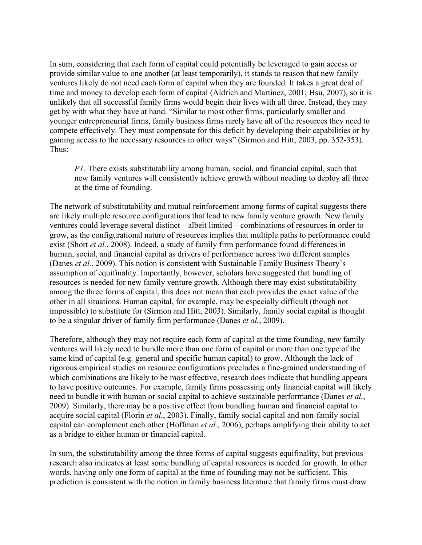In sum, considering that each form of capital could potentially be leveraged to gain access or provide similar value to one another (at least temporarily), it stands to reason that new family ventures likely do not need each form of capital when they are founded. It takes a great deal of time and money to develop each form of capital (Aldrich and Martinez, 2001; Hsu, 2007), so it is unlikely that all successful family firms would begin their lives with all three. Instead, they may get by with what they have at hand. "Similar to most other firms, particularly smaller and younger entrepreneurial firms, family business firms rarely have all of the resources they need to compete effectively. They must compensate for this deficit by developing their capabilities or by gaining access to the necessary resources in other ways" (Sirmon and Hitt, 2003, pp. 352-353). Thus:

*P1*. There exists substitutability among human, social, and financial capital, such that new family ventures will consistently achieve growth without needing to deploy all three at the time of founding.

The network of substitutability and mutual reinforcement among forms of capital suggests there are likely multiple resource configurations that lead to new family venture growth. New family ventures could leverage several distinct – albeit limited – combinations of resources in order to grow, as the configurational nature of resources implies that multiple paths to performance could exist (Short *et al.*, 2008). Indeed, a study of family firm performance found differences in human, social, and financial capital as drivers of performance across two different samples (Danes *et al.*, 2009). This notion is consistent with Sustainable Family Business Theory's assumption of equifinality. Importantly, however, scholars have suggested that bundling of resources is needed for new family venture growth. Although there may exist substitutability among the three forms of capital, this does not mean that each provides the exact value of the other in all situations. Human capital, for example, may be especially difficult (though not impossible) to substitute for (Sirmon and Hitt, 2003). Similarly, family social capital is thought to be a singular driver of family firm performance (Danes *et al.*, 2009).

Therefore, although they may not require each form of capital at the time founding, new family ventures will likely need to bundle more than one form of capital or more than one type of the same kind of capital (e.g. general and specific human capital) to grow. Although the lack of rigorous empirical studies on resource configurations precludes a fine-grained understanding of which combinations are likely to be most effective, research does indicate that bundling appears to have positive outcomes. For example, family firms possessing only financial capital will likely need to bundle it with human or social capital to achieve sustainable performance (Danes *et al.*, 2009). Similarly, there may be a positive effect from bundling human and financial capital to acquire social capital (Florin *et al.*, 2003). Finally, family social capital and non-family social capital can complement each other (Hoffman *et al.*, 2006), perhaps amplifying their ability to act as a bridge to either human or financial capital.

In sum, the substitutability among the three forms of capital suggests equifinality, but previous research also indicates at least some bundling of capital resources is needed for growth. In other words, having only one form of capital at the time of founding may not be sufficient. This prediction is consistent with the notion in family business literature that family firms must draw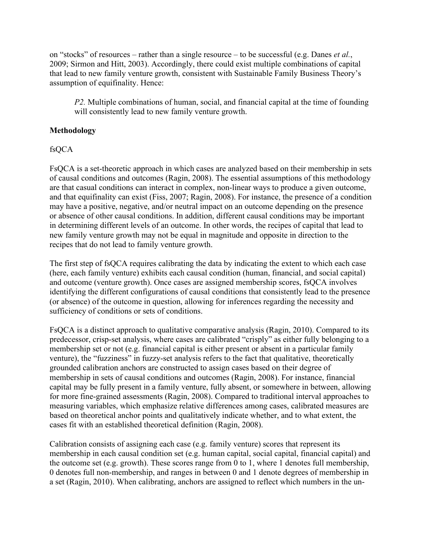on "stocks" of resources – rather than a single resource – to be successful (e.g. Danes *et al.*, 2009; Sirmon and Hitt, 2003). Accordingly, there could exist multiple combinations of capital that lead to new family venture growth, consistent with Sustainable Family Business Theory's assumption of equifinality. Hence:

*P2.* Multiple combinations of human, social, and financial capital at the time of founding will consistently lead to new family venture growth.

# **Methodology**

fsQCA

FsQCA is a set-theoretic approach in which cases are analyzed based on their membership in sets of causal conditions and outcomes (Ragin, 2008). The essential assumptions of this methodology are that casual conditions can interact in complex, non-linear ways to produce a given outcome, and that equifinality can exist (Fiss, 2007; Ragin, 2008). For instance, the presence of a condition may have a positive, negative, and/or neutral impact on an outcome depending on the presence or absence of other causal conditions. In addition, different causal conditions may be important in determining different levels of an outcome. In other words, the recipes of capital that lead to new family venture growth may not be equal in magnitude and opposite in direction to the recipes that do not lead to family venture growth.

The first step of fsQCA requires calibrating the data by indicating the extent to which each case (here, each family venture) exhibits each causal condition (human, financial, and social capital) and outcome (venture growth). Once cases are assigned membership scores, fsQCA involves identifying the different configurations of causal conditions that consistently lead to the presence (or absence) of the outcome in question, allowing for inferences regarding the necessity and sufficiency of conditions or sets of conditions.

FsQCA is a distinct approach to qualitative comparative analysis (Ragin, 2010). Compared to its predecessor, crisp-set analysis, where cases are calibrated "crisply" as either fully belonging to a membership set or not (e.g. financial capital is either present or absent in a particular family venture), the "fuzziness" in fuzzy-set analysis refers to the fact that qualitative, theoretically grounded calibration anchors are constructed to assign cases based on their degree of membership in sets of causal conditions and outcomes (Ragin, 2008). For instance, financial capital may be fully present in a family venture, fully absent, or somewhere in between, allowing for more fine-grained assessments (Ragin, 2008). Compared to traditional interval approaches to measuring variables, which emphasize relative differences among cases, calibrated measures are based on theoretical anchor points and qualitatively indicate whether, and to what extent, the cases fit with an established theoretical definition (Ragin, 2008).

Calibration consists of assigning each case (e.g. family venture) scores that represent its membership in each causal condition set (e.g. human capital, social capital, financial capital) and the outcome set (e.g. growth). These scores range from 0 to 1, where 1 denotes full membership, 0 denotes full non-membership, and ranges in between 0 and 1 denote degrees of membership in a set (Ragin, 2010). When calibrating, anchors are assigned to reflect which numbers in the un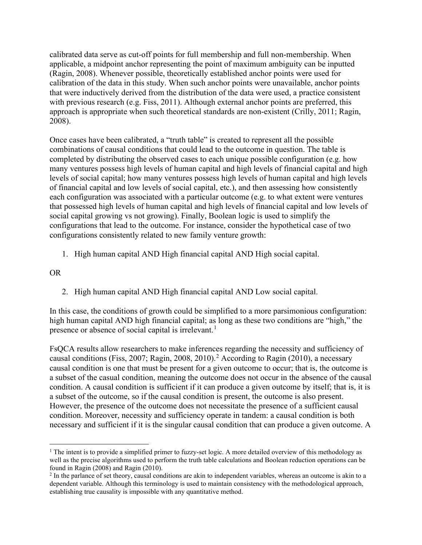calibrated data serve as cut-off points for full membership and full non-membership. When applicable, a midpoint anchor representing the point of maximum ambiguity can be inputted (Ragin, 2008). Whenever possible, theoretically established anchor points were used for calibration of the data in this study. When such anchor points were unavailable, anchor points that were inductively derived from the distribution of the data were used, a practice consistent with previous research (e.g. Fiss, 2011). Although external anchor points are preferred, this approach is appropriate when such theoretical standards are non-existent (Crilly, 2011; Ragin, 2008).

Once cases have been calibrated, a "truth table" is created to represent all the possible combinations of causal conditions that could lead to the outcome in question. The table is completed by distributing the observed cases to each unique possible configuration (e.g. how many ventures possess high levels of human capital and high levels of financial capital and high levels of social capital; how many ventures possess high levels of human capital and high levels of financial capital and low levels of social capital, etc.), and then assessing how consistently each configuration was associated with a particular outcome (e.g. to what extent were ventures that possessed high levels of human capital and high levels of financial capital and low levels of social capital growing vs not growing). Finally, Boolean logic is used to simplify the configurations that lead to the outcome. For instance, consider the hypothetical case of two configurations consistently related to new family venture growth:

1. High human capital AND High financial capital AND High social capital.

OR

2. High human capital AND High financial capital AND Low social capital.

In this case, the conditions of growth could be simplified to a more parsimonious configuration: high human capital AND high financial capital; as long as these two conditions are "high," the presence or absence of social capital is irrelevant.<sup>[1](#page-7-0)</sup>

FsQCA results allow researchers to make inferences regarding the necessity and sufficiency of causal conditions (Fiss, [2](#page-7-1)007; Ragin, 2008, 2010).<sup>2</sup> According to Ragin (2010), a necessary causal condition is one that must be present for a given outcome to occur; that is, the outcome is a subset of the casual condition, meaning the outcome does not occur in the absence of the causal condition. A causal condition is sufficient if it can produce a given outcome by itself; that is, it is a subset of the outcome, so if the causal condition is present, the outcome is also present. However, the presence of the outcome does not necessitate the presence of a sufficient causal condition. Moreover, necessity and sufficiency operate in tandem: a causal condition is both necessary and sufficient if it is the singular causal condition that can produce a given outcome. A

<span id="page-7-0"></span><sup>&</sup>lt;sup>1</sup> The intent is to provide a simplified primer to fuzzy-set logic. A more detailed overview of this methodology as well as the precise algorithms used to perform the truth table calculations and Boolean reduction operations can be found in Ragin (2008) and Ragin (2010).

<span id="page-7-1"></span><sup>&</sup>lt;sup>2</sup> In the parlance of set theory, causal conditions are akin to independent variables, whereas an outcome is akin to a dependent variable. Although this terminology is used to maintain consistency with the methodological approach, establishing true causality is impossible with any quantitative method.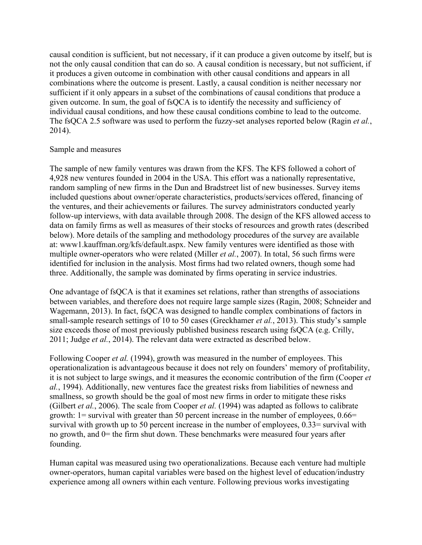causal condition is sufficient, but not necessary, if it can produce a given outcome by itself, but is not the only causal condition that can do so. A causal condition is necessary, but not sufficient, if it produces a given outcome in combination with other causal conditions and appears in all combinations where the outcome is present. Lastly, a causal condition is neither necessary nor sufficient if it only appears in a subset of the combinations of causal conditions that produce a given outcome. In sum, the goal of fsQCA is to identify the necessity and sufficiency of individual causal conditions, and how these causal conditions combine to lead to the outcome. The fsQCA 2.5 software was used to perform the fuzzy-set analyses reported below (Ragin *et al.*, 2014).

### Sample and measures

The sample of new family ventures was drawn from the KFS. The KFS followed a cohort of 4,928 new ventures founded in 2004 in the USA. This effort was a nationally representative, random sampling of new firms in the Dun and Bradstreet list of new businesses. Survey items included questions about owner/operate characteristics, products/services offered, financing of the ventures, and their achievements or failures. The survey administrators conducted yearly follow-up interviews, with data available through 2008. The design of the KFS allowed access to data on family firms as well as measures of their stocks of resources and growth rates (described below). More details of the sampling and methodology procedures of the survey are available at: www1.kauffman.org/kfs/default.aspx. New family ventures were identified as those with multiple owner-operators who were related (Miller *et al.*, 2007). In total, 56 such firms were identified for inclusion in the analysis. Most firms had two related owners, though some had three. Additionally, the sample was dominated by firms operating in service industries.

One advantage of fsQCA is that it examines set relations, rather than strengths of associations between variables, and therefore does not require large sample sizes (Ragin, 2008; Schneider and Wagemann, 2013). In fact, fsQCA was designed to handle complex combinations of factors in small-sample research settings of 10 to 50 cases (Greckhamer *et al.*, 2013). This study's sample size exceeds those of most previously published business research using fsQCA (e.g. Crilly, 2011; Judge *et al.*, 2014). The relevant data were extracted as described below.

Following Cooper *et al.* (1994), growth was measured in the number of employees. This operationalization is advantageous because it does not rely on founders' memory of profitability, it is not subject to large swings, and it measures the economic contribution of the firm (Cooper *et al.*, 1994). Additionally, new ventures face the greatest risks from liabilities of newness and smallness, so growth should be the goal of most new firms in order to mitigate these risks (Gilbert *et al.*, 2006). The scale from Cooper *et al.* (1994) was adapted as follows to calibrate growth:  $1 =$  survival with greater than 50 percent increase in the number of employees,  $0.66=$ survival with growth up to 50 percent increase in the number of employees, 0.33= survival with no growth, and 0= the firm shut down. These benchmarks were measured four years after founding.

Human capital was measured using two operationalizations. Because each venture had multiple owner-operators, human capital variables were based on the highest level of education/industry experience among all owners within each venture. Following previous works investigating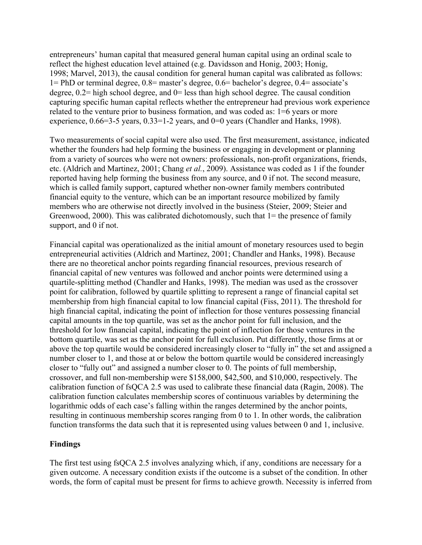entrepreneurs' human capital that measured general human capital using an ordinal scale to reflect the highest education level attained (e.g. Davidsson and Honig, 2003; Honig, 1998; Marvel, 2013), the causal condition for general human capital was calibrated as follows: 1= PhD or terminal degree, 0.8= master's degree, 0.6= bachelor's degree, 0.4= associate's degree,  $0.2$ = high school degree, and  $0$ = less than high school degree. The causal condition capturing specific human capital reflects whether the entrepreneur had previous work experience related to the venture prior to business formation, and was coded as: 1=6 years or more experience,  $0.66=3-5$  years,  $0.33=1-2$  years, and  $0=0$  years (Chandler and Hanks, 1998).

Two measurements of social capital were also used. The first measurement, assistance, indicated whether the founders had help forming the business or engaging in development or planning from a variety of sources who were not owners: professionals, non-profit organizations, friends, etc. (Aldrich and Martinez, 2001; Chang *et al.*, 2009). Assistance was coded as 1 if the founder reported having help forming the business from any source, and 0 if not. The second measure, which is called family support, captured whether non-owner family members contributed financial equity to the venture, which can be an important resource mobilized by family members who are otherwise not directly involved in the business (Steier, 2009; Steier and Greenwood, 2000). This was calibrated dichotomously, such that  $1=$  the presence of family support, and 0 if not.

Financial capital was operationalized as the initial amount of monetary resources used to begin entrepreneurial activities (Aldrich and Martinez, 2001; Chandler and Hanks, 1998). Because there are no theoretical anchor points regarding financial resources, previous research of financial capital of new ventures was followed and anchor points were determined using a quartile-splitting method (Chandler and Hanks, 1998). The median was used as the crossover point for calibration, followed by quartile splitting to represent a range of financial capital set membership from high financial capital to low financial capital (Fiss, 2011). The threshold for high financial capital, indicating the point of inflection for those ventures possessing financial capital amounts in the top quartile, was set as the anchor point for full inclusion, and the threshold for low financial capital, indicating the point of inflection for those ventures in the bottom quartile, was set as the anchor point for full exclusion. Put differently, those firms at or above the top quartile would be considered increasingly closer to "fully in" the set and assigned a number closer to 1, and those at or below the bottom quartile would be considered increasingly closer to "fully out" and assigned a number closer to 0. The points of full membership, crossover, and full non-membership were \$158,000, \$42,500, and \$10,000, respectively. The calibration function of fsQCA 2.5 was used to calibrate these financial data (Ragin, 2008). The calibration function calculates membership scores of continuous variables by determining the logarithmic odds of each case's falling within the ranges determined by the anchor points, resulting in continuous membership scores ranging from 0 to 1. In other words, the calibration function transforms the data such that it is represented using values between 0 and 1, inclusive.

### **Findings**

The first test using fsQCA 2.5 involves analyzing which, if any, conditions are necessary for a given outcome. A necessary condition exists if the outcome is a subset of the condition. In other words, the form of capital must be present for firms to achieve growth. Necessity is inferred from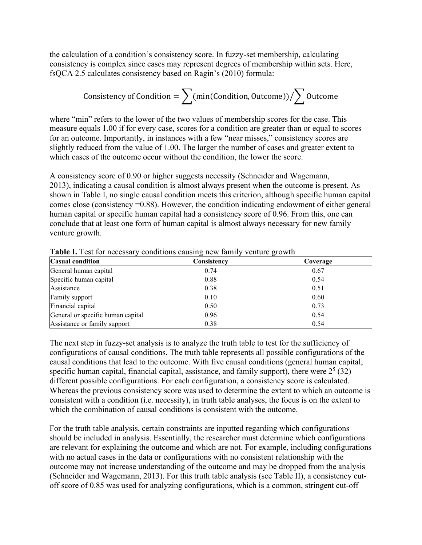the calculation of a condition's consistency score. In fuzzy-set membership, calculating consistency is complex since cases may represent degrees of membership within sets. Here, fsQCA 2.5 calculates consistency based on Ragin's (2010) formula:

$$
Consistency of Condition = \sum (min(Condition, outcome)) / \sum 0 \text{utcome}
$$

where "min" refers to the lower of the two values of membership scores for the case. This measure equals 1.00 if for every case, scores for a condition are greater than or equal to scores for an outcome. Importantly, in instances with a few "near misses," consistency scores are slightly reduced from the value of 1.00. The larger the number of cases and greater extent to which cases of the outcome occur without the condition, the lower the score.

A consistency score of 0.90 or higher suggests necessity (Schneider and Wagemann, 2013), indicating a causal condition is almost always present when the outcome is present. As shown in Table I, no single causal condition meets this criterion, although specific human capital comes close (consistency =0.88). However, the condition indicating endowment of either general human capital or specific human capital had a consistency score of 0.96. From this, one can conclude that at least one form of human capital is almost always necessary for new family venture growth.

| <b>Casual condition</b>           | Consistency | Coverage |
|-----------------------------------|-------------|----------|
| General human capital             | 0.74        | 0.67     |
| Specific human capital            | 0.88        | 0.54     |
| Assistance                        | 0.38        | 0.51     |
| Family support                    | 0.10        | 0.60     |
| Financial capital                 | 0.50        | 0.73     |
| General or specific human capital | 0.96        | 0.54     |
| Assistance or family support      | 0.38        | 0.54     |

**Table I.** Test for necessary conditions causing new family venture growth

The next step in fuzzy-set analysis is to analyze the truth table to test for the sufficiency of configurations of causal conditions. The truth table represents all possible configurations of the causal conditions that lead to the outcome. With five causal conditions (general human capital, specific human capital, financial capital, assistance, and family support), there were  $2<sup>5</sup>$  (32) different possible configurations. For each configuration, a consistency score is calculated. Whereas the previous consistency score was used to determine the extent to which an outcome is consistent with a condition (i.e. necessity), in truth table analyses, the focus is on the extent to which the combination of causal conditions is consistent with the outcome.

For the truth table analysis, certain constraints are inputted regarding which configurations should be included in analysis. Essentially, the researcher must determine which configurations are relevant for explaining the outcome and which are not. For example, including configurations with no actual cases in the data or configurations with no consistent relationship with the outcome may not increase understanding of the outcome and may be dropped from the analysis (Schneider and Wagemann, 2013). For this truth table analysis (see Table II), a consistency cutoff score of 0.85 was used for analyzing configurations, which is a common, stringent cut-off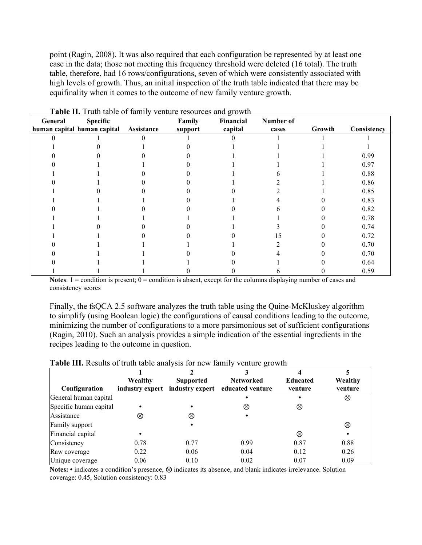point (Ragin, 2008). It was also required that each configuration be represented by at least one case in the data; those not meeting this frequency threshold were deleted (16 total). The truth table, therefore, had 16 rows/configurations, seven of which were consistently associated with high levels of growth. Thus, an initial inspection of the truth table indicated that there may be equifinality when it comes to the outcome of new family venture growth.

| General | <b>Specific</b>             |            | Family  | Financial | Number of |        |             |
|---------|-----------------------------|------------|---------|-----------|-----------|--------|-------------|
|         | human capital human capital | Assistance | support | capital   | cases     | Growth | Consistency |
|         |                             |            |         |           |           |        |             |
|         |                             |            |         |           |           |        |             |
|         |                             |            |         |           |           |        | 0.99        |
|         |                             |            |         |           |           |        | 0.97        |
|         |                             |            |         |           |           |        | 0.88        |
|         |                             |            |         |           |           |        | 0.86        |
|         |                             |            |         |           |           |        | 0.85        |
|         |                             |            |         |           |           |        | 0.83        |
|         |                             |            |         |           |           |        | 0.82        |
|         |                             |            |         |           |           |        | 0.78        |
|         |                             |            |         |           |           |        | 0.74        |
|         |                             |            |         |           | 15        |        | 0.72        |
|         |                             |            |         |           |           |        | 0.70        |
|         |                             |            |         |           |           |        | 0.70        |
|         |                             |            |         |           |           |        | 0.64        |
|         |                             |            |         |           |           |        | 0.59        |

**Table II.** Truth table of family venture resources and growth

**Notes**: 1 = condition is present; 0 = condition is absent, except for the columns displaying number of cases and consistency scores

Finally, the fsQCA 2.5 software analyzes the truth table using the Quine-McKluskey algorithm to simplify (using Boolean logic) the configurations of causal conditions leading to the outcome, minimizing the number of configurations to a more parsimonious set of sufficient configurations (Ragin, 2010). Such an analysis provides a simple indication of the essential ingredients in the recipes leading to the outcome in question.

| Configuration          | Wealthy | <b>Supported</b> | <b>Networked</b><br>industry expert industry expert educated venture | <b>Educated</b><br>venture | Wealthy<br>venture |
|------------------------|---------|------------------|----------------------------------------------------------------------|----------------------------|--------------------|
| General human capital  |         |                  |                                                                      |                            | ⊗                  |
| Specific human capital |         |                  | ⊗                                                                    | ⊗                          |                    |
| Assistance             | ⊗       | ⊗                |                                                                      |                            |                    |
| Family support         |         |                  |                                                                      |                            | ⊗                  |
| Financial capital      |         |                  |                                                                      | ⊗                          |                    |
| Consistency            | 0.78    | 0.77             | 0.99                                                                 | 0.87                       | 0.88               |
| Raw coverage           | 0.22    | 0.06             | 0.04                                                                 | 0.12                       | 0.26               |
| Unique coverage        | 0.06    | 0.10             | 0.02                                                                 | 0.07                       | 0.09               |

#### **Table III.** Results of truth table analysis for new family venture growth

**Notes: •** indicates a condition's presence, ⊗ indicates its absence, and blank indicates irrelevance. Solution coverage: 0.45, Solution consistency: 0.83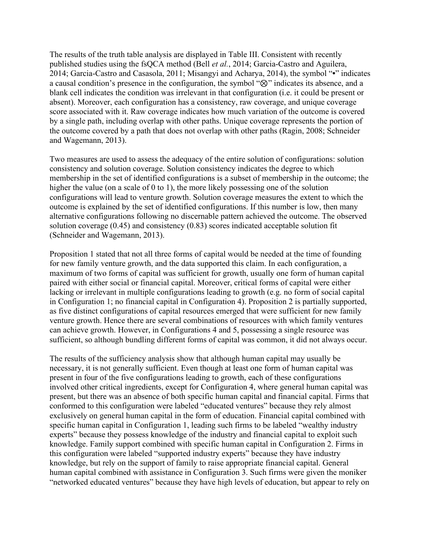The results of the truth table analysis are displayed in Table III. Consistent with recently published studies using the fsQCA method (Bell *et al.*, 2014; Garcia-Castro and Aguilera, 2014; Garcia-Castro and Casasola, 2011; Misangyi and Acharya, 2014), the symbol "**•**" indicates a causal condition's presence in the configuration, the symbol "⊗" indicates its absence, and a blank cell indicates the condition was irrelevant in that configuration (i.e. it could be present or absent). Moreover, each configuration has a consistency, raw coverage, and unique coverage score associated with it. Raw coverage indicates how much variation of the outcome is covered by a single path, including overlap with other paths. Unique coverage represents the portion of the outcome covered by a path that does not overlap with other paths (Ragin, 2008; Schneider and Wagemann, 2013).

Two measures are used to assess the adequacy of the entire solution of configurations: solution consistency and solution coverage. Solution consistency indicates the degree to which membership in the set of identified configurations is a subset of membership in the outcome; the higher the value (on a scale of 0 to 1), the more likely possessing one of the solution configurations will lead to venture growth. Solution coverage measures the extent to which the outcome is explained by the set of identified configurations. If this number is low, then many alternative configurations following no discernable pattern achieved the outcome. The observed solution coverage (0.45) and consistency (0.83) scores indicated acceptable solution fit (Schneider and Wagemann, 2013).

Proposition 1 stated that not all three forms of capital would be needed at the time of founding for new family venture growth, and the data supported this claim. In each configuration, a maximum of two forms of capital was sufficient for growth, usually one form of human capital paired with either social or financial capital. Moreover, critical forms of capital were either lacking or irrelevant in multiple configurations leading to growth (e.g. no form of social capital in Configuration 1; no financial capital in Configuration 4). Proposition 2 is partially supported, as five distinct configurations of capital resources emerged that were sufficient for new family venture growth. Hence there are several combinations of resources with which family ventures can achieve growth. However, in Configurations 4 and 5, possessing a single resource was sufficient, so although bundling different forms of capital was common, it did not always occur.

The results of the sufficiency analysis show that although human capital may usually be necessary, it is not generally sufficient. Even though at least one form of human capital was present in four of the five configurations leading to growth, each of these configurations involved other critical ingredients, except for Configuration 4, where general human capital was present, but there was an absence of both specific human capital and financial capital. Firms that conformed to this configuration were labeled "educated ventures" because they rely almost exclusively on general human capital in the form of education. Financial capital combined with specific human capital in Configuration 1, leading such firms to be labeled "wealthy industry experts" because they possess knowledge of the industry and financial capital to exploit such knowledge. Family support combined with specific human capital in Configuration 2. Firms in this configuration were labeled "supported industry experts" because they have industry knowledge, but rely on the support of family to raise appropriate financial capital. General human capital combined with assistance in Configuration 3. Such firms were given the moniker "networked educated ventures" because they have high levels of education, but appear to rely on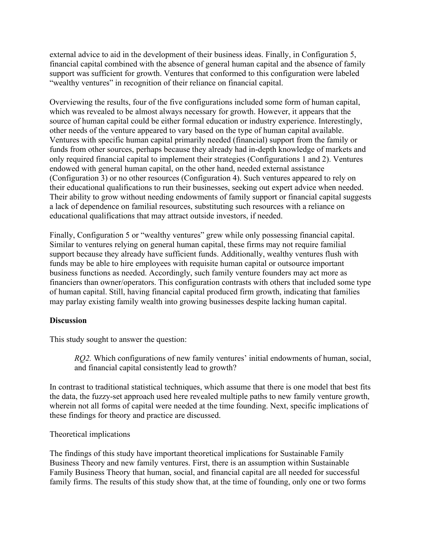external advice to aid in the development of their business ideas. Finally, in Configuration 5, financial capital combined with the absence of general human capital and the absence of family support was sufficient for growth. Ventures that conformed to this configuration were labeled "wealthy ventures" in recognition of their reliance on financial capital.

Overviewing the results, four of the five configurations included some form of human capital, which was revealed to be almost always necessary for growth. However, it appears that the source of human capital could be either formal education or industry experience. Interestingly, other needs of the venture appeared to vary based on the type of human capital available. Ventures with specific human capital primarily needed (financial) support from the family or funds from other sources, perhaps because they already had in-depth knowledge of markets and only required financial capital to implement their strategies (Configurations 1 and 2). Ventures endowed with general human capital, on the other hand, needed external assistance (Configuration 3) or no other resources (Configuration 4). Such ventures appeared to rely on their educational qualifications to run their businesses, seeking out expert advice when needed. Their ability to grow without needing endowments of family support or financial capital suggests a lack of dependence on familial resources, substituting such resources with a reliance on educational qualifications that may attract outside investors, if needed.

Finally, Configuration 5 or "wealthy ventures" grew while only possessing financial capital. Similar to ventures relying on general human capital, these firms may not require familial support because they already have sufficient funds. Additionally, wealthy ventures flush with funds may be able to hire employees with requisite human capital or outsource important business functions as needed. Accordingly, such family venture founders may act more as financiers than owner/operators. This configuration contrasts with others that included some type of human capital. Still, having financial capital produced firm growth, indicating that families may parlay existing family wealth into growing businesses despite lacking human capital.

## **Discussion**

This study sought to answer the question:

*RQ2.* Which configurations of new family ventures' initial endowments of human, social, and financial capital consistently lead to growth?

In contrast to traditional statistical techniques, which assume that there is one model that best fits the data, the fuzzy-set approach used here revealed multiple paths to new family venture growth, wherein not all forms of capital were needed at the time founding. Next, specific implications of these findings for theory and practice are discussed.

### Theoretical implications

The findings of this study have important theoretical implications for Sustainable Family Business Theory and new family ventures. First, there is an assumption within Sustainable Family Business Theory that human, social, and financial capital are all needed for successful family firms. The results of this study show that, at the time of founding, only one or two forms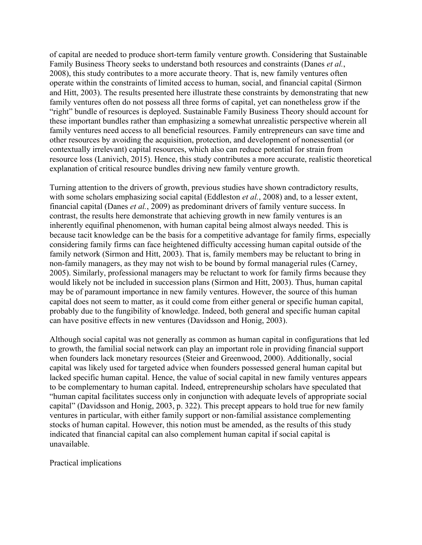of capital are needed to produce short-term family venture growth. Considering that Sustainable Family Business Theory seeks to understand both resources and constraints (Danes *et al.*, 2008), this study contributes to a more accurate theory. That is, new family ventures often operate within the constraints of limited access to human, social, and financial capital (Sirmon and Hitt, 2003). The results presented here illustrate these constraints by demonstrating that new family ventures often do not possess all three forms of capital, yet can nonetheless grow if the "right" bundle of resources is deployed. Sustainable Family Business Theory should account for these important bundles rather than emphasizing a somewhat unrealistic perspective wherein all family ventures need access to all beneficial resources. Family entrepreneurs can save time and other resources by avoiding the acquisition, protection, and development of nonessential (or contextually irrelevant) capital resources, which also can reduce potential for strain from resource loss (Lanivich, 2015). Hence, this study contributes a more accurate, realistic theoretical explanation of critical resource bundles driving new family venture growth.

Turning attention to the drivers of growth, previous studies have shown contradictory results, with some scholars emphasizing social capital (Eddleston *et al.*, 2008) and, to a lesser extent, financial capital (Danes *et al.*, 2009) as predominant drivers of family venture success. In contrast, the results here demonstrate that achieving growth in new family ventures is an inherently equifinal phenomenon, with human capital being almost always needed. This is because tacit knowledge can be the basis for a competitive advantage for family firms, especially considering family firms can face heightened difficulty accessing human capital outside of the family network (Sirmon and Hitt, 2003). That is, family members may be reluctant to bring in non-family managers, as they may not wish to be bound by formal managerial rules (Carney, 2005). Similarly, professional managers may be reluctant to work for family firms because they would likely not be included in succession plans (Sirmon and Hitt, 2003). Thus, human capital may be of paramount importance in new family ventures. However, the source of this human capital does not seem to matter, as it could come from either general or specific human capital, probably due to the fungibility of knowledge. Indeed, both general and specific human capital can have positive effects in new ventures (Davidsson and Honig, 2003).

Although social capital was not generally as common as human capital in configurations that led to growth, the familial social network can play an important role in providing financial support when founders lack monetary resources (Steier and Greenwood, 2000). Additionally, social capital was likely used for targeted advice when founders possessed general human capital but lacked specific human capital. Hence, the value of social capital in new family ventures appears to be complementary to human capital. Indeed, entrepreneurship scholars have speculated that "human capital facilitates success only in conjunction with adequate levels of appropriate social capital" (Davidsson and Honig, 2003, p. 322). This precept appears to hold true for new family ventures in particular, with either family support or non-familial assistance complementing stocks of human capital. However, this notion must be amended, as the results of this study indicated that financial capital can also complement human capital if social capital is unavailable.

Practical implications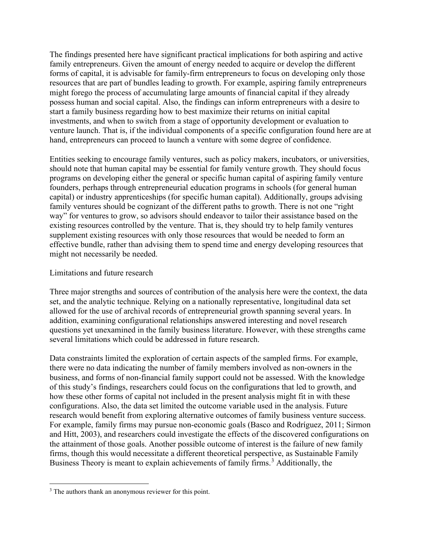The findings presented here have significant practical implications for both aspiring and active family entrepreneurs. Given the amount of energy needed to acquire or develop the different forms of capital, it is advisable for family-firm entrepreneurs to focus on developing only those resources that are part of bundles leading to growth. For example, aspiring family entrepreneurs might forego the process of accumulating large amounts of financial capital if they already possess human and social capital. Also, the findings can inform entrepreneurs with a desire to start a family business regarding how to best maximize their returns on initial capital investments, and when to switch from a stage of opportunity development or evaluation to venture launch. That is, if the individual components of a specific configuration found here are at hand, entrepreneurs can proceed to launch a venture with some degree of confidence.

Entities seeking to encourage family ventures, such as policy makers, incubators, or universities, should note that human capital may be essential for family venture growth. They should focus programs on developing either the general or specific human capital of aspiring family venture founders, perhaps through entrepreneurial education programs in schools (for general human capital) or industry apprenticeships (for specific human capital). Additionally, groups advising family ventures should be cognizant of the different paths to growth. There is not one "right way" for ventures to grow, so advisors should endeavor to tailor their assistance based on the existing resources controlled by the venture. That is, they should try to help family ventures supplement existing resources with only those resources that would be needed to form an effective bundle, rather than advising them to spend time and energy developing resources that might not necessarily be needed.

### Limitations and future research

Three major strengths and sources of contribution of the analysis here were the context, the data set, and the analytic technique. Relying on a nationally representative, longitudinal data set allowed for the use of archival records of entrepreneurial growth spanning several years. In addition, examining configurational relationships answered interesting and novel research questions yet unexamined in the family business literature. However, with these strengths came several limitations which could be addressed in future research.

Data constraints limited the exploration of certain aspects of the sampled firms. For example, there were no data indicating the number of family members involved as non-owners in the business, and forms of non-financial family support could not be assessed. With the knowledge of this study's findings, researchers could focus on the configurations that led to growth, and how these other forms of capital not included in the present analysis might fit in with these configurations. Also, the data set limited the outcome variable used in the analysis. Future research would benefit from exploring alternative outcomes of family business venture success. For example, family firms may pursue non-economic goals (Basco and Rodríguez, 2011; Sirmon and Hitt, 2003), and researchers could investigate the effects of the discovered configurations on the attainment of those goals. Another possible outcome of interest is the failure of new family firms, though this would necessitate a different theoretical perspective, as Sustainable Family Business Theory is meant to explain achievements of family firms.<sup>[3](#page-15-0)</sup> Additionally, the

<span id="page-15-0"></span><sup>&</sup>lt;sup>3</sup> The authors thank an anonymous reviewer for this point.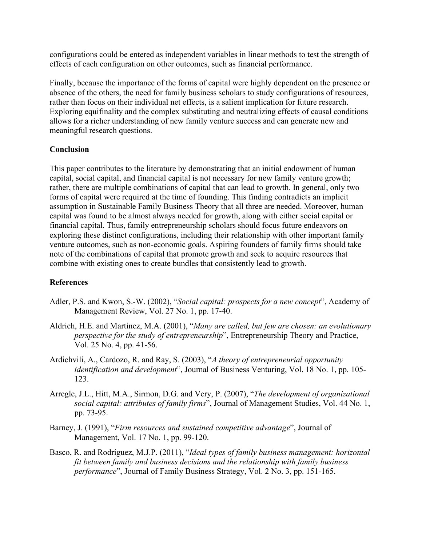configurations could be entered as independent variables in linear methods to test the strength of effects of each configuration on other outcomes, such as financial performance.

Finally, because the importance of the forms of capital were highly dependent on the presence or absence of the others, the need for family business scholars to study configurations of resources, rather than focus on their individual net effects, is a salient implication for future research. Exploring equifinality and the complex substituting and neutralizing effects of causal conditions allows for a richer understanding of new family venture success and can generate new and meaningful research questions.

### **Conclusion**

This paper contributes to the literature by demonstrating that an initial endowment of human capital, social capital, and financial capital is not necessary for new family venture growth; rather, there are multiple combinations of capital that can lead to growth. In general, only two forms of capital were required at the time of founding. This finding contradicts an implicit assumption in Sustainable Family Business Theory that all three are needed. Moreover, human capital was found to be almost always needed for growth, along with either social capital or financial capital. Thus, family entrepreneurship scholars should focus future endeavors on exploring these distinct configurations, including their relationship with other important family venture outcomes, such as non-economic goals. Aspiring founders of family firms should take note of the combinations of capital that promote growth and seek to acquire resources that combine with existing ones to create bundles that consistently lead to growth.

## **References**

- Adler, P.S. and Kwon, S.-W. (2002), "*Social capital: prospects for a new concept*", Academy of Management Review, Vol. 27 No. 1, pp. 17-40.
- Aldrich, H.E. and Martinez, M.A. (2001), "*Many are called, but few are chosen: an evolutionary perspective for the study of entrepreneurship*", Entrepreneurship Theory and Practice, Vol. 25 No. 4, pp. 41-56.
- Ardichvili, A., Cardozo, R. and Ray, S. (2003), "*A theory of entrepreneurial opportunity identification and development*", Journal of Business Venturing, Vol. 18 No. 1, pp. 105- 123.
- Arregle, J.L., Hitt, M.A., Sirmon, D.G. and Very, P. (2007), "*The development of organizational social capital: attributes of family firms*", Journal of Management Studies, Vol. 44 No. 1, pp. 73-95.
- Barney, J. (1991), "*Firm resources and sustained competitive advantage*", Journal of Management, Vol. 17 No. 1, pp. 99-120.
- Basco, R. and Rodríguez, M.J.P. (2011), "*Ideal types of family business management: horizontal fit between family and business decisions and the relationship with family business performance*", Journal of Family Business Strategy, Vol. 2 No. 3, pp. 151-165.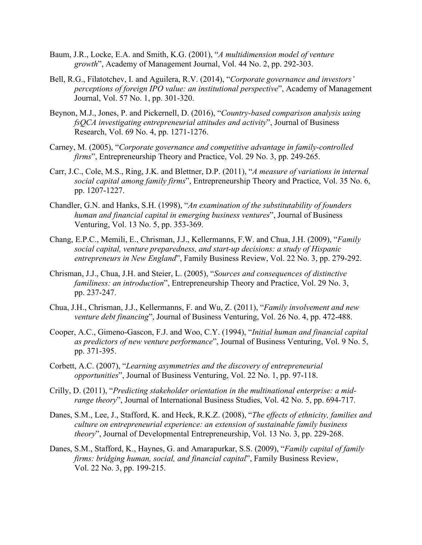- Baum, J.R., Locke, E.A. and Smith, K.G. (2001), "*A multidimension model of venture growth*", Academy of Management Journal, Vol. 44 No. 2, pp. 292-303.
- Bell, R.G., Filatotchev, I. and Aguilera, R.V. (2014), "*Corporate governance and investors' perceptions of foreign IPO value: an institutional perspective*", Academy of Management Journal, Vol. 57 No. 1, pp. 301-320.
- Beynon, M.J., Jones, P. and Pickernell, D. (2016), "*Country-based comparison analysis using fsQCA investigating entrepreneurial attitudes and activity*", Journal of Business Research, Vol. 69 No. 4, pp. 1271-1276.
- Carney, M. (2005), "*Corporate governance and competitive advantage in family‐controlled firms*", Entrepreneurship Theory and Practice, Vol. 29 No. 3, pp. 249-265.
- Carr, J.C., Cole, M.S., Ring, J.K. and Blettner, D.P. (2011), "*A measure of variations in internal social capital among family firms*", Entrepreneurship Theory and Practice, Vol. 35 No. 6, pp. 1207-1227.
- Chandler, G.N. and Hanks, S.H. (1998), "*An examination of the substitutability of founders human and financial capital in emerging business ventures*", Journal of Business Venturing, Vol. 13 No. 5, pp. 353-369.
- Chang, E.P.C., Memili, E., Chrisman, J.J., Kellermanns, F.W. and Chua, J.H. (2009), "*Family social capital, venture preparedness, and start-up decisions: a study of Hispanic entrepreneurs in New England*", Family Business Review, Vol. 22 No. 3, pp. 279-292.
- Chrisman, J.J., Chua, J.H. and Steier, L. (2005), "*Sources and consequences of distinctive familiness: an introduction*", Entrepreneurship Theory and Practice, Vol. 29 No. 3, pp. 237-247.
- Chua, J.H., Chrisman, J.J., Kellermanns, F. and Wu, Z. (2011), "*Family involvement and new venture debt financing*", Journal of Business Venturing, Vol. 26 No. 4, pp. 472-488.
- Cooper, A.C., Gimeno-Gascon, F.J. and Woo, C.Y. (1994), "*Initial human and financial capital as predictors of new venture performance*", Journal of Business Venturing, Vol. 9 No. 5, pp. 371-395.
- Corbett, A.C. (2007), "*Learning asymmetries and the discovery of entrepreneurial opportunities*", Journal of Business Venturing, Vol. 22 No. 1, pp. 97-118.
- Crilly, D. (2011), "*Predicting stakeholder orientation in the multinational enterprise: a midrange theory*", Journal of International Business Studies, Vol. 42 No. 5, pp. 694-717.
- Danes, S.M., Lee, J., Stafford, K. and Heck, R.K.Z. (2008), "*The effects of ethnicity, families and culture on entrepreneurial experience: an extension of sustainable family business theory*", Journal of Developmental Entrepreneurship, Vol. 13 No. 3, pp. 229-268.
- Danes, S.M., Stafford, K., Haynes, G. and Amarapurkar, S.S. (2009), "*Family capital of family firms: bridging human, social, and financial capital*", Family Business Review, Vol. 22 No. 3, pp. 199-215.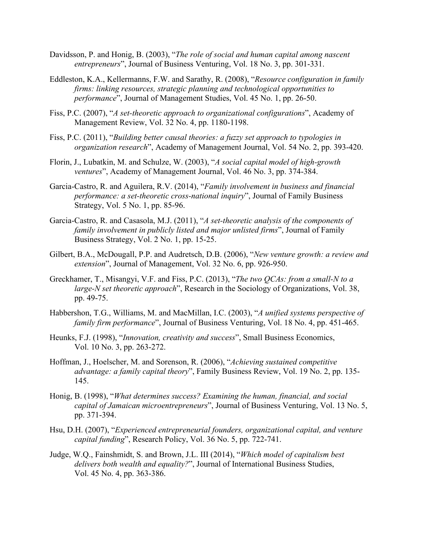- Davidsson, P. and Honig, B. (2003), "*The role of social and human capital among nascent entrepreneurs*", Journal of Business Venturing, Vol. 18 No. 3, pp. 301-331.
- Eddleston, K.A., Kellermanns, F.W. and Sarathy, R. (2008), "*Resource configuration in family firms: linking resources, strategic planning and technological opportunities to performance*", Journal of Management Studies, Vol. 45 No. 1, pp. 26-50.
- Fiss, P.C. (2007), "*A set-theoretic approach to organizational configurations*", Academy of Management Review, Vol. 32 No. 4, pp. 1180-1198.
- Fiss, P.C. (2011), "*Building better causal theories: a fuzzy set approach to typologies in organization research*", Academy of Management Journal, Vol. 54 No. 2, pp. 393-420.
- Florin, J., Lubatkin, M. and Schulze, W. (2003), "*A social capital model of high-growth ventures*", Academy of Management Journal, Vol. 46 No. 3, pp. 374-384.
- Garcia-Castro, R. and Aguilera, R.V. (2014), "*Family involvement in business and financial performance: a set-theoretic cross-national inquiry*", Journal of Family Business Strategy, Vol. 5 No. 1, pp. 85-96.
- Garcia-Castro, R. and Casasola, M.J. (2011), "*A set-theoretic analysis of the components of family involvement in publicly listed and major unlisted firms*", Journal of Family Business Strategy, Vol. 2 No. 1, pp. 15-25.
- Gilbert, B.A., McDougall, P.P. and Audretsch, D.B. (2006), "*New venture growth: a review and extension*", Journal of Management, Vol. 32 No. 6, pp. 926-950.
- Greckhamer, T., Misangyi, V.F. and Fiss, P.C. (2013), "*The two QCAs: from a small-N to a large-N set theoretic approach*", Research in the Sociology of Organizations, Vol. 38, pp. 49-75.
- Habbershon, T.G., Williams, M. and MacMillan, I.C. (2003), "*A unified systems perspective of family firm performance*", Journal of Business Venturing, Vol. 18 No. 4, pp. 451-465.
- Heunks, F.J. (1998), "*Innovation, creativity and success*", Small Business Economics, Vol. 10 No. 3, pp. 263-272.
- Hoffman, J., Hoelscher, M. and Sorenson, R. (2006), "*Achieving sustained competitive advantage: a family capital theory*", Family Business Review, Vol. 19 No. 2, pp. 135- 145.
- Honig, B. (1998), "*What determines success? Examining the human, financial, and social capital of Jamaican microentrepreneurs*", Journal of Business Venturing, Vol. 13 No. 5, pp. 371-394.
- Hsu, D.H. (2007), "*Experienced entrepreneurial founders, organizational capital, and venture capital funding*", Research Policy, Vol. 36 No. 5, pp. 722-741.
- Judge, W.Q., Fainshmidt, S. and Brown, J.L. III (2014), "*Which model of capitalism best delivers both wealth and equality?*", Journal of International Business Studies, Vol. 45 No. 4, pp. 363-386.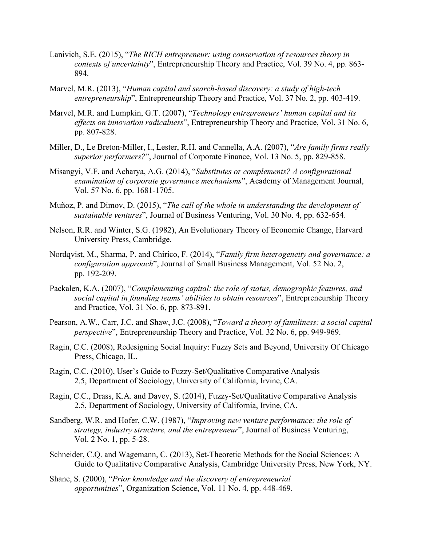- Lanivich, S.E. (2015), "*The RICH entrepreneur: using conservation of resources theory in contexts of uncertainty*", Entrepreneurship Theory and Practice, Vol. 39 No. 4, pp. 863- 894.
- Marvel, M.R. (2013), "*Human capital and search-based discovery: a study of high-tech entrepreneurship*", Entrepreneurship Theory and Practice, Vol. 37 No. 2, pp. 403-419.
- Marvel, M.R. and Lumpkin, G.T. (2007), "*Technology entrepreneurs' human capital and its effects on innovation radicalness*", Entrepreneurship Theory and Practice, Vol. 31 No. 6, pp. 807-828.
- Miller, D., Le Breton-Miller, I., Lester, R.H. and Cannella, A.A. (2007), "*Are family firms really superior performers?*", Journal of Corporate Finance, Vol. 13 No. 5, pp. 829-858.
- Misangyi, V.F. and Acharya, A.G. (2014), "*Substitutes or complements? A configurational examination of corporate governance mechanisms*", Academy of Management Journal, Vol. 57 No. 6, pp. 1681-1705.
- Muñoz, P. and Dimov, D. (2015), "*The call of the whole in understanding the development of sustainable ventures*", Journal of Business Venturing, Vol. 30 No. 4, pp. 632-654.
- Nelson, R.R. and Winter, S.G. (1982), An Evolutionary Theory of Economic Change, Harvard University Press, Cambridge.
- Nordqvist, M., Sharma, P. and Chirico, F. (2014), "*Family firm heterogeneity and governance: a configuration approach*", Journal of Small Business Management, Vol. 52 No. 2, pp. 192-209.
- Packalen, K.A. (2007), "*Complementing capital: the role of status, demographic features, and social capital in founding teams' abilities to obtain resources*", Entrepreneurship Theory and Practice, Vol. 31 No. 6, pp. 873-891.
- Pearson, A.W., Carr, J.C. and Shaw, J.C. (2008), "*Toward a theory of familiness: a social capital perspective*", Entrepreneurship Theory and Practice, Vol. 32 No. 6, pp. 949-969.
- Ragin, C.C. (2008), Redesigning Social Inquiry: Fuzzy Sets and Beyond, University Of Chicago Press, Chicago, IL.
- Ragin, C.C. (2010), User's Guide to Fuzzy-Set/Qualitative Comparative Analysis 2.5, Department of Sociology, University of California, Irvine, CA.
- Ragin, C.C., Drass, K.A. and Davey, S. (2014), Fuzzy-Set/Qualitative Comparative Analysis 2.5, Department of Sociology, University of California, Irvine, CA.
- Sandberg, W.R. and Hofer, C.W. (1987), "*Improving new venture performance: the role of strategy, industry structure, and the entrepreneur*", Journal of Business Venturing, Vol. 2 No. 1, pp. 5-28.
- Schneider, C.Q. and Wagemann, C. (2013), Set-Theoretic Methods for the Social Sciences: A Guide to Qualitative Comparative Analysis, Cambridge University Press, New York, NY.
- Shane, S. (2000), "*Prior knowledge and the discovery of entrepreneurial opportunities*", Organization Science, Vol. 11 No. 4, pp. 448-469.